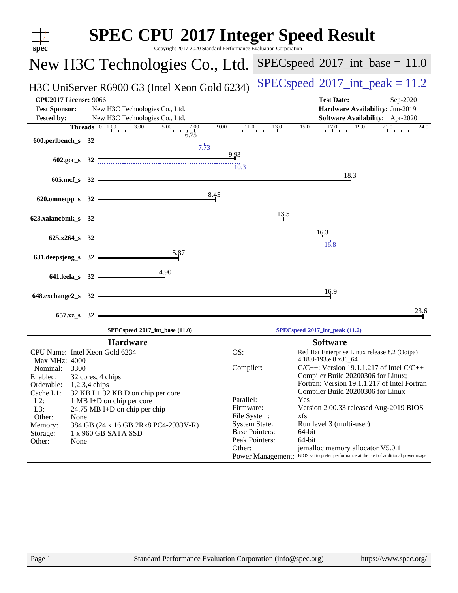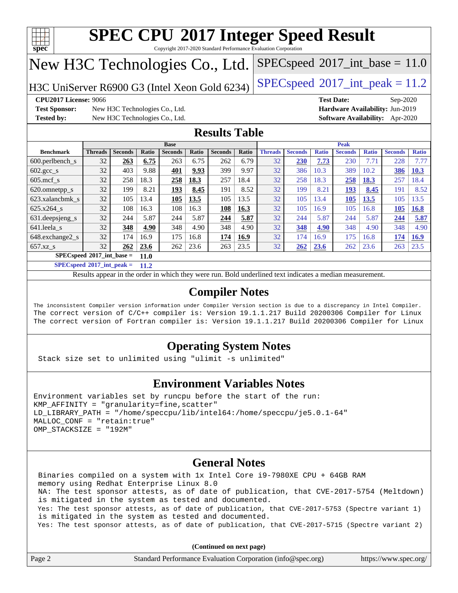

Copyright 2017-2020 Standard Performance Evaluation Corporation

# New H3C Technologies Co., Ltd.

H3C UniServer R6900 G3 (Intel Xeon Gold 6234) [SPECspeed](http://www.spec.org/auto/cpu2017/Docs/result-fields.html#SPECspeed2017intpeak)®2017\_int\_peak =  $11.2$ 

 $SPECspeed^{\circ}2017\_int\_base = 11.0$  $SPECspeed^{\circ}2017\_int\_base = 11.0$ 

**[Test Sponsor:](http://www.spec.org/auto/cpu2017/Docs/result-fields.html#TestSponsor)** New H3C Technologies Co., Ltd. **[Hardware Availability:](http://www.spec.org/auto/cpu2017/Docs/result-fields.html#HardwareAvailability)** Jun-2019 **[Tested by:](http://www.spec.org/auto/cpu2017/Docs/result-fields.html#Testedby)** New H3C Technologies Co., Ltd. **[Software Availability:](http://www.spec.org/auto/cpu2017/Docs/result-fields.html#SoftwareAvailability)** Apr-2020

**[CPU2017 License:](http://www.spec.org/auto/cpu2017/Docs/result-fields.html#CPU2017License)** 9066 **[Test Date:](http://www.spec.org/auto/cpu2017/Docs/result-fields.html#TestDate)** Sep-2020

#### **[Results Table](http://www.spec.org/auto/cpu2017/Docs/result-fields.html#ResultsTable)**

|                                                   | <b>Base</b>    |                |       |                |       | <b>Peak</b>    |       |                |                |              |                |              |                |              |
|---------------------------------------------------|----------------|----------------|-------|----------------|-------|----------------|-------|----------------|----------------|--------------|----------------|--------------|----------------|--------------|
| <b>Benchmark</b>                                  | <b>Threads</b> | <b>Seconds</b> | Ratio | <b>Seconds</b> | Ratio | <b>Seconds</b> | Ratio | <b>Threads</b> | <b>Seconds</b> | <b>Ratio</b> | <b>Seconds</b> | <b>Ratio</b> | <b>Seconds</b> | <b>Ratio</b> |
| $600.$ perlbench s                                | 32             | 263            | 6.75  | 263            | 6.75  | 262            | 6.79  | 32             | 230            | 7.73         | 230            | 7.71         | 228            | 7.77         |
| $602 \text{.} \text{gcc}\text{_<}$ s              | 32             | 403            | 9.88  | 401            | 9.93  | 399            | 9.97  | 32             | 386            | 10.3         | 389            | 10.2         | 386            | 10.3         |
| $605$ .mcf s                                      | 32             | 258            | 18.3  | 258            | 18.3  | 257            | 18.4  | 32             | 258            | 18.3         | 258            | 18.3         | 257            | 18.4         |
| 620.omnetpp_s                                     | 32             | 199            | 8.21  | 193            | 8.45  | 191            | 8.52  | 32             | 199            | 8.21         | <u>193</u>     | 8.45         | 191            | 8.52         |
| 623.xalancbmk s                                   | 32             | 105            | 13.4  | 105            | 13.5  | 105            | 13.5  | 32             | 105            | 13.4         | 105            | 13.5         | 105            | 13.5         |
| 625.x264 s                                        | 32             | 108            | 16.3  | 108            | 16.3  | 108            | 16.3  | 32             | 105            | 16.9         | 105            | 16.8         | 105            | 16.8         |
| 631.deepsjeng_s                                   | 32             | 244            | 5.87  | 244            | 5.87  | 244            | 5.87  | 32             | 244            | 5.87         | 244            | 5.87         | 244            | 5.87         |
| 641.leela_s                                       | 32             | 348            | 4.90  | 348            | 4.90  | 348            | 4.90  | 32             | 348            | 4.90         | 348            | 4.90         | 348            | 4.90         |
| 648.exchange2_s                                   | 32             | 174            | 16.9  | 175            | 16.8  | 174            | 16.9  | 32             | 174            | 16.9         | 175            | 16.8         | 174            | <b>16.9</b>  |
| $657.xz$ s                                        | 32             | 262            | 23.6  | 262            | 23.6  | 263            | 23.5  | 32             | 262            | 23.6         | 262            | 23.6         | 263            | 23.5         |
| $SPECspeed^{\circ}2017$ int base =<br><b>11.0</b> |                |                |       |                |       |                |       |                |                |              |                |              |                |              |

**[SPECspeed](http://www.spec.org/auto/cpu2017/Docs/result-fields.html#SPECspeed2017intpeak)[2017\\_int\\_peak =](http://www.spec.org/auto/cpu2017/Docs/result-fields.html#SPECspeed2017intpeak) 11.2**

Results appear in the [order in which they were run.](http://www.spec.org/auto/cpu2017/Docs/result-fields.html#RunOrder) Bold underlined text [indicates a median measurement](http://www.spec.org/auto/cpu2017/Docs/result-fields.html#Median).

#### **[Compiler Notes](http://www.spec.org/auto/cpu2017/Docs/result-fields.html#CompilerNotes)**

The inconsistent Compiler version information under Compiler Version section is due to a discrepancy in Intel Compiler. The correct version of C/C++ compiler is: Version 19.1.1.217 Build 20200306 Compiler for Linux The correct version of Fortran compiler is: Version 19.1.1.217 Build 20200306 Compiler for Linux

#### **[Operating System Notes](http://www.spec.org/auto/cpu2017/Docs/result-fields.html#OperatingSystemNotes)**

Stack size set to unlimited using "ulimit -s unlimited"

#### **[Environment Variables Notes](http://www.spec.org/auto/cpu2017/Docs/result-fields.html#EnvironmentVariablesNotes)**

```
Environment variables set by runcpu before the start of the run:
KMP AFFINITY = "granularity=fine, scatter"
LD_LIBRARY_PATH = "/home/speccpu/lib/intel64:/home/speccpu/je5.0.1-64"
MALLOC_CONF = "retain:true"
OMP_STACKSIZE = "192M"
```
#### **[General Notes](http://www.spec.org/auto/cpu2017/Docs/result-fields.html#GeneralNotes)**

 Binaries compiled on a system with 1x Intel Core i9-7980XE CPU + 64GB RAM memory using Redhat Enterprise Linux 8.0 NA: The test sponsor attests, as of date of publication, that CVE-2017-5754 (Meltdown) is mitigated in the system as tested and documented. Yes: The test sponsor attests, as of date of publication, that CVE-2017-5753 (Spectre variant 1) is mitigated in the system as tested and documented. Yes: The test sponsor attests, as of date of publication, that CVE-2017-5715 (Spectre variant 2)

| Page 2 | Standard Performance Evaluation Corporation (info@spec.org) | https://www.spec.org/ |
|--------|-------------------------------------------------------------|-----------------------|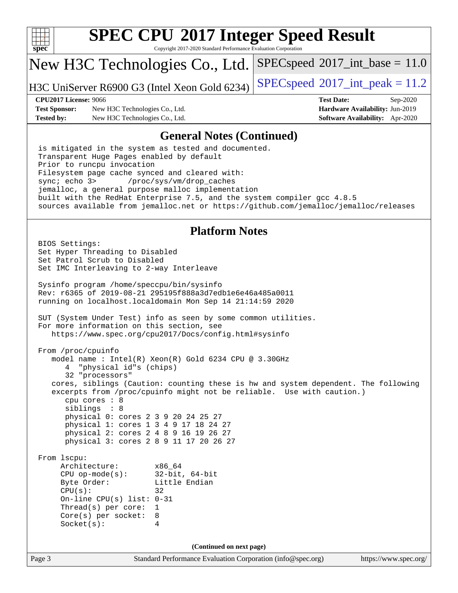

Copyright 2017-2020 Standard Performance Evaluation Corporation

### New H3C Technologies Co., Ltd.

H3C UniServer R6900 G3 (Intel Xeon Gold 6234) [SPECspeed](http://www.spec.org/auto/cpu2017/Docs/result-fields.html#SPECspeed2017intpeak)®2017\_int\_peak =  $11.2$ 

 $SPECspeed^{\circ}2017\_int\_base = 11.0$  $SPECspeed^{\circ}2017\_int\_base = 11.0$ 

**[Test Sponsor:](http://www.spec.org/auto/cpu2017/Docs/result-fields.html#TestSponsor)** New H3C Technologies Co., Ltd. **[Hardware Availability:](http://www.spec.org/auto/cpu2017/Docs/result-fields.html#HardwareAvailability)** Jun-2019 **[Tested by:](http://www.spec.org/auto/cpu2017/Docs/result-fields.html#Testedby)** New H3C Technologies Co., Ltd. **[Software Availability:](http://www.spec.org/auto/cpu2017/Docs/result-fields.html#SoftwareAvailability)** Apr-2020

**[CPU2017 License:](http://www.spec.org/auto/cpu2017/Docs/result-fields.html#CPU2017License)** 9066 **[Test Date:](http://www.spec.org/auto/cpu2017/Docs/result-fields.html#TestDate)** Sep-2020

#### **[General Notes \(Continued\)](http://www.spec.org/auto/cpu2017/Docs/result-fields.html#GeneralNotes)**

 is mitigated in the system as tested and documented. Transparent Huge Pages enabled by default Prior to runcpu invocation Filesystem page cache synced and cleared with: sync; echo 3> /proc/sys/vm/drop\_caches jemalloc, a general purpose malloc implementation built with the RedHat Enterprise 7.5, and the system compiler gcc 4.8.5 sources available from jemalloc.net or <https://github.com/jemalloc/jemalloc/releases>

#### **[Platform Notes](http://www.spec.org/auto/cpu2017/Docs/result-fields.html#PlatformNotes)**

Page 3 Standard Performance Evaluation Corporation [\(info@spec.org\)](mailto:info@spec.org) <https://www.spec.org/> BIOS Settings: Set Hyper Threading to Disabled Set Patrol Scrub to Disabled Set IMC Interleaving to 2-way Interleave Sysinfo program /home/speccpu/bin/sysinfo Rev: r6365 of 2019-08-21 295195f888a3d7edb1e6e46a485a0011 running on localhost.localdomain Mon Sep 14 21:14:59 2020 SUT (System Under Test) info as seen by some common utilities. For more information on this section, see <https://www.spec.org/cpu2017/Docs/config.html#sysinfo> From /proc/cpuinfo model name : Intel(R) Xeon(R) Gold 6234 CPU @ 3.30GHz 4 "physical id"s (chips) 32 "processors" cores, siblings (Caution: counting these is hw and system dependent. The following excerpts from /proc/cpuinfo might not be reliable. Use with caution.) cpu cores : 8 siblings : 8 physical 0: cores 2 3 9 20 24 25 27 physical 1: cores 1 3 4 9 17 18 24 27 physical 2: cores 2 4 8 9 16 19 26 27 physical 3: cores 2 8 9 11 17 20 26 27 From lscpu: Architecture: x86\_64 CPU op-mode(s): 32-bit, 64-bit Byte Order: Little Endian  $CPU(s):$  32 On-line CPU(s) list: 0-31 Thread(s) per core: 1 Core(s) per socket: 8 Socket(s): 4 **(Continued on next page)**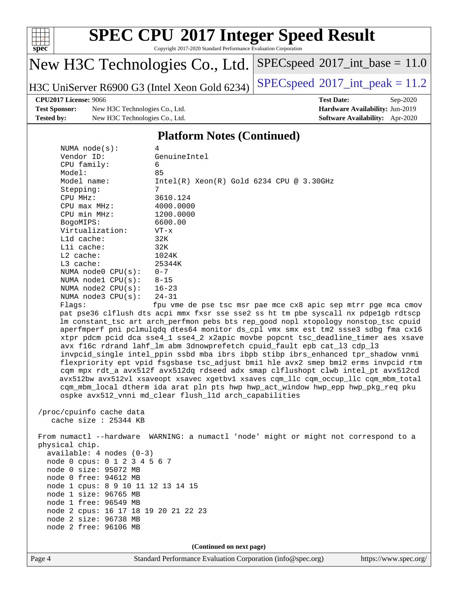

Copyright 2017-2020 Standard Performance Evaluation Corporation

### New H3C Technologies Co., Ltd.

H3C UniServer R6900 G3 (Intel Xeon Gold 6234) [SPECspeed](http://www.spec.org/auto/cpu2017/Docs/result-fields.html#SPECspeed2017intpeak)®2017\_int\_peak =  $11.2$ 

 $SPECspeed^{\circ}2017\_int\_base = 11.0$  $SPECspeed^{\circ}2017\_int\_base = 11.0$ 

#### **[CPU2017 License:](http://www.spec.org/auto/cpu2017/Docs/result-fields.html#CPU2017License)** 9066 **[Test Date:](http://www.spec.org/auto/cpu2017/Docs/result-fields.html#TestDate)** Sep-2020

**[Test Sponsor:](http://www.spec.org/auto/cpu2017/Docs/result-fields.html#TestSponsor)** New H3C Technologies Co., Ltd. **[Hardware Availability:](http://www.spec.org/auto/cpu2017/Docs/result-fields.html#HardwareAvailability)** Jun-2019 **[Tested by:](http://www.spec.org/auto/cpu2017/Docs/result-fields.html#Testedby)** New H3C Technologies Co., Ltd. **[Software Availability:](http://www.spec.org/auto/cpu2017/Docs/result-fields.html#SoftwareAvailability)** Apr-2020

#### **[Platform Notes \(Continued\)](http://www.spec.org/auto/cpu2017/Docs/result-fields.html#PlatformNotes)**

| NUMA $node(s):$            | 4                                                                                   |
|----------------------------|-------------------------------------------------------------------------------------|
| Vendor ID:                 | GenuineIntel                                                                        |
| CPU family:                | 6                                                                                   |
| Model:                     | 85                                                                                  |
| Model name:                | $Intel(R)$ Xeon $(R)$ Gold 6234 CPU @ 3.30GHz                                       |
| Stepping:                  | 7                                                                                   |
| CPU MHz:                   | 3610.124                                                                            |
| $CPU$ max $MHz$ :          | 4000.0000                                                                           |
| CPU min MHz:               | 1200.0000                                                                           |
| BogoMIPS:                  | 6600.00                                                                             |
| Virtualization:            | $VT - x$                                                                            |
| $L1d$ cache:               | 32K                                                                                 |
| Lli cache:                 | 32K                                                                                 |
| $L2$ cache:                | 1024K                                                                               |
| $L3$ cache:                | 25344K                                                                              |
| NUMA $node0$ $CPU(s):$     | $0 - 7$                                                                             |
| NUMA $node1$ $CPU(s):$     | $8 - 15$                                                                            |
| NUMA node2 $CPU(s): 16-23$ |                                                                                     |
| NUMA $node3$ $CPU(s)$ :    | $24 - 31$                                                                           |
| Flaqs:                     | fpu vme de pse tsc msr pae mce cx8 apic sep mtrr pqe mca cmov                       |
|                            | pat pse36 clflush dts acpi mmx fxsr sse sse2 ss ht tm pbe syscall nx pdpe1qb rdtscp |
|                            | Im constant tsc art arch perfmon pebs bts rep good nopl xtopology nonstop tsc cpuid |
|                            | aperfmperf pni pclmulqdq dtes64 monitor ds cpl vmx smx est tm2 ssse3 sdbq fma cx16  |

lonstop\_tsc cpuid e3 sdbg fma cx16 xtpr pdcm pcid dca sse4\_1 sse4\_2 x2apic movbe popcnt tsc\_deadline\_timer aes xsave avx f16c rdrand lahf\_lm abm 3dnowprefetch cpuid\_fault epb cat\_l3 cdp\_l3 invpcid\_single intel\_ppin ssbd mba ibrs ibpb stibp ibrs\_enhanced tpr\_shadow vnmi flexpriority ept vpid fsgsbase tsc\_adjust bmi1 hle avx2 smep bmi2 erms invpcid rtm cqm mpx rdt\_a avx512f avx512dq rdseed adx smap clflushopt clwb intel\_pt avx512cd avx512bw avx512vl xsaveopt xsavec xgetbv1 xsaves cqm\_llc cqm\_occup\_llc cqm\_mbm\_total cqm\_mbm\_local dtherm ida arat pln pts hwp hwp\_act\_window hwp\_epp hwp\_pkg\_req pku ospke avx512\_vnni md\_clear flush\_l1d arch\_capabilities

```
 /proc/cpuinfo cache data
   cache size : 25344 KB
```
 From numactl --hardware WARNING: a numactl 'node' might or might not correspond to a physical chip. available: 4 nodes (0-3) node 0 cpus: 0 1 2 3 4 5 6 7 node 0 size: 95072 MB node 0 free: 94612 MB node 1 cpus: 8 9 10 11 12 13 14 15 node 1 size: 96765 MB node 1 free: 96549 MB node 2 cpus: 16 17 18 19 20 21 22 23 node 2 size: 96738 MB node 2 free: 96106 MB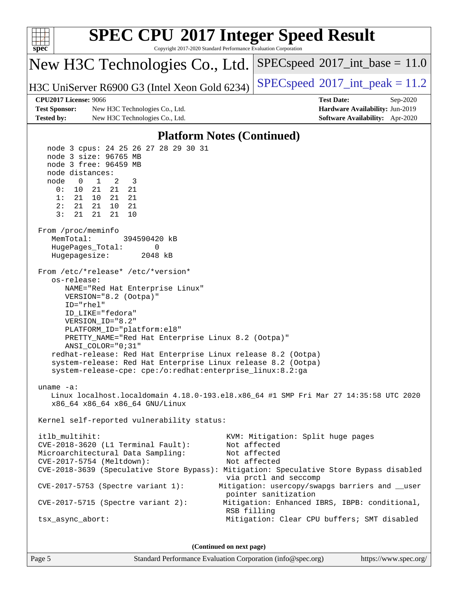

Page 5 Standard Performance Evaluation Corporation [\(info@spec.org\)](mailto:info@spec.org) <https://www.spec.org/>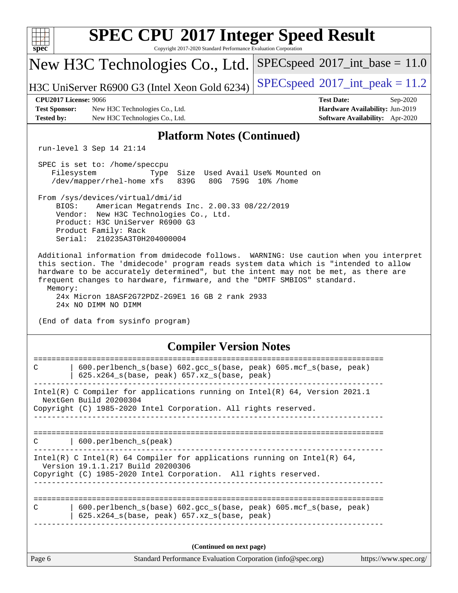| <b>SPEC CPU®2017 Integer Speed Result</b><br>Copyright 2017-2020 Standard Performance Evaluation Corporation<br>$spec^*$                                                                                                                                                                                                                                  |  |  |  |  |  |  |  |
|-----------------------------------------------------------------------------------------------------------------------------------------------------------------------------------------------------------------------------------------------------------------------------------------------------------------------------------------------------------|--|--|--|--|--|--|--|
| $SPEC speed^{\circ}2017\_int\_base = 11.0$<br>New H3C Technologies Co., Ltd.                                                                                                                                                                                                                                                                              |  |  |  |  |  |  |  |
| $SPEC speed^{\circ}2017\_int\_peak = 11.2$<br>H3C UniServer R6900 G3 (Intel Xeon Gold 6234)                                                                                                                                                                                                                                                               |  |  |  |  |  |  |  |
| <b>CPU2017 License: 9066</b><br><b>Test Date:</b><br>Sep-2020<br><b>Test Sponsor:</b><br>New H3C Technologies Co., Ltd.<br>Hardware Availability: Jun-2019<br>Software Availability: Apr-2020<br><b>Tested by:</b><br>New H3C Technologies Co., Ltd.                                                                                                      |  |  |  |  |  |  |  |
| <b>Platform Notes (Continued)</b>                                                                                                                                                                                                                                                                                                                         |  |  |  |  |  |  |  |
| run-level 3 Sep 14 21:14                                                                                                                                                                                                                                                                                                                                  |  |  |  |  |  |  |  |
| SPEC is set to: /home/speccpu<br>Filesystem<br>Size Used Avail Use% Mounted on<br>Type<br>/dev/mapper/rhel-home xfs<br>839G<br>80G 759G 10% / home                                                                                                                                                                                                        |  |  |  |  |  |  |  |
| From /sys/devices/virtual/dmi/id<br>BIOS:<br>American Megatrends Inc. 2.00.33 08/22/2019<br>Vendor: New H3C Technologies Co., Ltd.<br>Product: H3C UniServer R6900 G3<br>Product Family: Rack<br>Serial: 210235A3T0H204000004                                                                                                                             |  |  |  |  |  |  |  |
| Additional information from dmidecode follows. WARNING: Use caution when you interpret<br>this section. The 'dmidecode' program reads system data which is "intended to allow<br>hardware to be accurately determined", but the intent may not be met, as there are<br>frequent changes to hardware, firmware, and the "DMTF SMBIOS" standard.<br>Memory: |  |  |  |  |  |  |  |
| 24x Micron 18ASF2G72PDZ-2G9E1 16 GB 2 rank 2933<br>24x NO DIMM NO DIMM<br>(End of data from sysinfo program)                                                                                                                                                                                                                                              |  |  |  |  |  |  |  |
| <b>Compiler Version Notes</b>                                                                                                                                                                                                                                                                                                                             |  |  |  |  |  |  |  |
| $\mathsf{C}$<br>600.perlbench_s(base) 602.gcc_s(base, peak) 605.mcf_s(base, peak)<br>625.x264_s(base, peak) 657.xz_s(base, peak)                                                                                                                                                                                                                          |  |  |  |  |  |  |  |
| Intel(R) C Compiler for applications running on Intel(R) 64, Version 2021.1<br>NextGen Build 20200304<br>Copyright (C) 1985-2020 Intel Corporation. All rights reserved.                                                                                                                                                                                  |  |  |  |  |  |  |  |
|                                                                                                                                                                                                                                                                                                                                                           |  |  |  |  |  |  |  |
| 600.perlbench_s(peak)<br>C                                                                                                                                                                                                                                                                                                                                |  |  |  |  |  |  |  |
| Intel(R) C Intel(R) 64 Compiler for applications running on Intel(R) 64,<br>Version 19.1.1.217 Build 20200306<br>Copyright (C) 1985-2020 Intel Corporation. All rights reserved.<br>_________________                                                                                                                                                     |  |  |  |  |  |  |  |
| 600.perlbench_s(base) 602.gcc_s(base, peak) 605.mcf_s(base, peak)<br>C<br>625.x264_s(base, peak) 657.xz_s(base, peak)                                                                                                                                                                                                                                     |  |  |  |  |  |  |  |
| (Continued on next page)                                                                                                                                                                                                                                                                                                                                  |  |  |  |  |  |  |  |
| Page 6<br>Standard Performance Evaluation Corporation (info@spec.org)<br>https://www.spec.org/                                                                                                                                                                                                                                                            |  |  |  |  |  |  |  |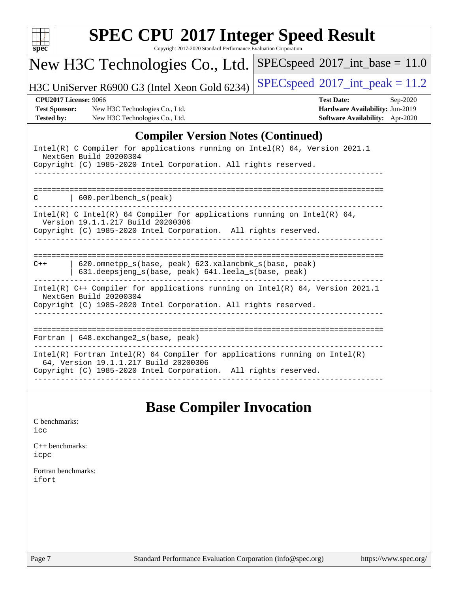| New H3C Technologies Co., Ltd.                                                                                                                                                     | $SPEC speed^{\circ}2017\_int\_base = 11.0$                                                            |
|------------------------------------------------------------------------------------------------------------------------------------------------------------------------------------|-------------------------------------------------------------------------------------------------------|
| H3C UniServer R6900 G3 (Intel Xeon Gold 6234)                                                                                                                                      | $SPEC speed^{\circ}2017\_int\_peak = 11.2$                                                            |
| <b>CPU2017 License: 9066</b><br><b>Test Sponsor:</b><br>New H3C Technologies Co., Ltd.<br><b>Tested by:</b><br>New H3C Technologies Co., Ltd.                                      | <b>Test Date:</b><br>$Sep-2020$<br>Hardware Availability: Jun-2019<br>Software Availability: Apr-2020 |
| <b>Compiler Version Notes (Continued)</b>                                                                                                                                          |                                                                                                       |
| Intel(R) C Compiler for applications running on Intel(R) 64, Version 2021.1<br>NextGen Build 20200304<br>Copyright (C) 1985-2020 Intel Corporation. All rights reserved.           |                                                                                                       |
| 600.perlbench_s(peak)<br>C                                                                                                                                                         | ------------------------------------                                                                  |
| $Intel(R)$ C Intel(R) 64 Compiler for applications running on Intel(R) 64,<br>Version 19.1.1.217 Build 20200306<br>Copyright (C) 1985-2020 Intel Corporation. All rights reserved. |                                                                                                       |
| 620.omnetpp_s(base, peak) 623.xalancbmk_s(base, peak)<br>$C++$<br>631.deepsjeng_s(base, peak) 641.leela_s(base, peak)                                                              |                                                                                                       |
| Intel(R) C++ Compiler for applications running on Intel(R) 64, Version 2021.1<br>NextGen Build 20200304<br>Copyright (C) 1985-2020 Intel Corporation. All rights reserved.         |                                                                                                       |
| Fortran   648. exchange2_s(base, peak)                                                                                                                                             | --------------------------                                                                            |
| $Intel(R)$ Fortran Intel(R) 64 Compiler for applications running on Intel(R)<br>64, Version 19.1.1.217 Build 20200306                                                              |                                                                                                       |

# **[Base Compiler Invocation](http://www.spec.org/auto/cpu2017/Docs/result-fields.html#BaseCompilerInvocation)**

| C benchmarks: |  |
|---------------|--|
| icc           |  |

[C++ benchmarks:](http://www.spec.org/auto/cpu2017/Docs/result-fields.html#CXXbenchmarks) [icpc](http://www.spec.org/cpu2017/results/res2020q4/cpu2017-20200927-24031.flags.html#user_CXXbase_intel_icpc_c510b6838c7f56d33e37e94d029a35b4a7bccf4766a728ee175e80a419847e808290a9b78be685c44ab727ea267ec2f070ec5dc83b407c0218cded6866a35d07)

[Fortran benchmarks](http://www.spec.org/auto/cpu2017/Docs/result-fields.html#Fortranbenchmarks): [ifort](http://www.spec.org/cpu2017/results/res2020q4/cpu2017-20200927-24031.flags.html#user_FCbase_intel_ifort_8111460550e3ca792625aed983ce982f94888b8b503583aa7ba2b8303487b4d8a21a13e7191a45c5fd58ff318f48f9492884d4413fa793fd88dd292cad7027ca)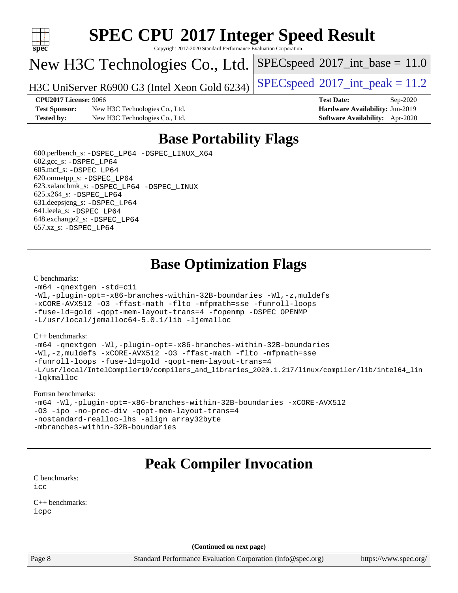

Copyright 2017-2020 Standard Performance Evaluation Corporation

## New H3C Technologies Co., Ltd.

H3C UniServer R6900 G3 (Intel Xeon Gold 6234) [SPECspeed](http://www.spec.org/auto/cpu2017/Docs/result-fields.html#SPECspeed2017intpeak)®[2017\\_int\\_peak = 1](http://www.spec.org/auto/cpu2017/Docs/result-fields.html#SPECspeed2017intpeak)1.2

 $SPECspeed^{\circ}2017\_int\_base = 11.0$  $SPECspeed^{\circ}2017\_int\_base = 11.0$ 

**[CPU2017 License:](http://www.spec.org/auto/cpu2017/Docs/result-fields.html#CPU2017License)** 9066 **[Test Date:](http://www.spec.org/auto/cpu2017/Docs/result-fields.html#TestDate)** Sep-2020

**[Test Sponsor:](http://www.spec.org/auto/cpu2017/Docs/result-fields.html#TestSponsor)** New H3C Technologies Co., Ltd. **[Hardware Availability:](http://www.spec.org/auto/cpu2017/Docs/result-fields.html#HardwareAvailability)** Jun-2019 **[Tested by:](http://www.spec.org/auto/cpu2017/Docs/result-fields.html#Testedby)** New H3C Technologies Co., Ltd. **[Software Availability:](http://www.spec.org/auto/cpu2017/Docs/result-fields.html#SoftwareAvailability)** Apr-2020

### **[Base Portability Flags](http://www.spec.org/auto/cpu2017/Docs/result-fields.html#BasePortabilityFlags)**

 600.perlbench\_s: [-DSPEC\\_LP64](http://www.spec.org/cpu2017/results/res2020q4/cpu2017-20200927-24031.flags.html#b600.perlbench_s_basePORTABILITY_DSPEC_LP64) [-DSPEC\\_LINUX\\_X64](http://www.spec.org/cpu2017/results/res2020q4/cpu2017-20200927-24031.flags.html#b600.perlbench_s_baseCPORTABILITY_DSPEC_LINUX_X64) 602.gcc\_s: [-DSPEC\\_LP64](http://www.spec.org/cpu2017/results/res2020q4/cpu2017-20200927-24031.flags.html#suite_basePORTABILITY602_gcc_s_DSPEC_LP64) 605.mcf\_s: [-DSPEC\\_LP64](http://www.spec.org/cpu2017/results/res2020q4/cpu2017-20200927-24031.flags.html#suite_basePORTABILITY605_mcf_s_DSPEC_LP64) 620.omnetpp\_s: [-DSPEC\\_LP64](http://www.spec.org/cpu2017/results/res2020q4/cpu2017-20200927-24031.flags.html#suite_basePORTABILITY620_omnetpp_s_DSPEC_LP64) 623.xalancbmk\_s: [-DSPEC\\_LP64](http://www.spec.org/cpu2017/results/res2020q4/cpu2017-20200927-24031.flags.html#suite_basePORTABILITY623_xalancbmk_s_DSPEC_LP64) [-DSPEC\\_LINUX](http://www.spec.org/cpu2017/results/res2020q4/cpu2017-20200927-24031.flags.html#b623.xalancbmk_s_baseCXXPORTABILITY_DSPEC_LINUX) 625.x264\_s: [-DSPEC\\_LP64](http://www.spec.org/cpu2017/results/res2020q4/cpu2017-20200927-24031.flags.html#suite_basePORTABILITY625_x264_s_DSPEC_LP64) 631.deepsjeng\_s: [-DSPEC\\_LP64](http://www.spec.org/cpu2017/results/res2020q4/cpu2017-20200927-24031.flags.html#suite_basePORTABILITY631_deepsjeng_s_DSPEC_LP64) 641.leela\_s: [-DSPEC\\_LP64](http://www.spec.org/cpu2017/results/res2020q4/cpu2017-20200927-24031.flags.html#suite_basePORTABILITY641_leela_s_DSPEC_LP64) 648.exchange2\_s: [-DSPEC\\_LP64](http://www.spec.org/cpu2017/results/res2020q4/cpu2017-20200927-24031.flags.html#suite_basePORTABILITY648_exchange2_s_DSPEC_LP64) 657.xz\_s: [-DSPEC\\_LP64](http://www.spec.org/cpu2017/results/res2020q4/cpu2017-20200927-24031.flags.html#suite_basePORTABILITY657_xz_s_DSPEC_LP64)

## **[Base Optimization Flags](http://www.spec.org/auto/cpu2017/Docs/result-fields.html#BaseOptimizationFlags)**

#### [C benchmarks](http://www.spec.org/auto/cpu2017/Docs/result-fields.html#Cbenchmarks):

```
-m64 -qnextgen -std=c11
-Wl,-plugin-opt=-x86-branches-within-32B-boundaries -Wl,-z,muldefs
-xCORE-AVX512 -O3 -ffast-math -flto -mfpmath=sse -funroll-loops
-fuse-ld=gold -qopt-mem-layout-trans=4 -fopenmp -DSPEC_OPENMP
-L/usr/local/jemalloc64-5.0.1/lib -ljemalloc
```
#### [C++ benchmarks:](http://www.spec.org/auto/cpu2017/Docs/result-fields.html#CXXbenchmarks)

```
-m64 -qnextgen -Wl,-plugin-opt=-x86-branches-within-32B-boundaries
-Wl,-z,muldefs -xCORE-AVX512 -O3 -ffast-math -flto -mfpmath=sse
-funroll-loops -fuse-ld=gold -qopt-mem-layout-trans=4
-L/usr/local/IntelCompiler19/compilers_and_libraries_2020.1.217/linux/compiler/lib/intel64_lin
-lqkmalloc
```
#### [Fortran benchmarks:](http://www.spec.org/auto/cpu2017/Docs/result-fields.html#Fortranbenchmarks)

```
-m64 -Wl,-plugin-opt=-x86-branches-within-32B-boundaries -xCORE-AVX512
-O3 -ipo -no-prec-div -qopt-mem-layout-trans=4
-nostandard-realloc-lhs -align array32byte
-mbranches-within-32B-boundaries
```
### **[Peak Compiler Invocation](http://www.spec.org/auto/cpu2017/Docs/result-fields.html#PeakCompilerInvocation)**

[C benchmarks](http://www.spec.org/auto/cpu2017/Docs/result-fields.html#Cbenchmarks): [icc](http://www.spec.org/cpu2017/results/res2020q4/cpu2017-20200927-24031.flags.html#user_CCpeak_intel_icc_66fc1ee009f7361af1fbd72ca7dcefbb700085f36577c54f309893dd4ec40d12360134090235512931783d35fd58c0460139e722d5067c5574d8eaf2b3e37e92)

[C++ benchmarks:](http://www.spec.org/auto/cpu2017/Docs/result-fields.html#CXXbenchmarks) [icpc](http://www.spec.org/cpu2017/results/res2020q4/cpu2017-20200927-24031.flags.html#user_CXXpeak_intel_icpc_c510b6838c7f56d33e37e94d029a35b4a7bccf4766a728ee175e80a419847e808290a9b78be685c44ab727ea267ec2f070ec5dc83b407c0218cded6866a35d07)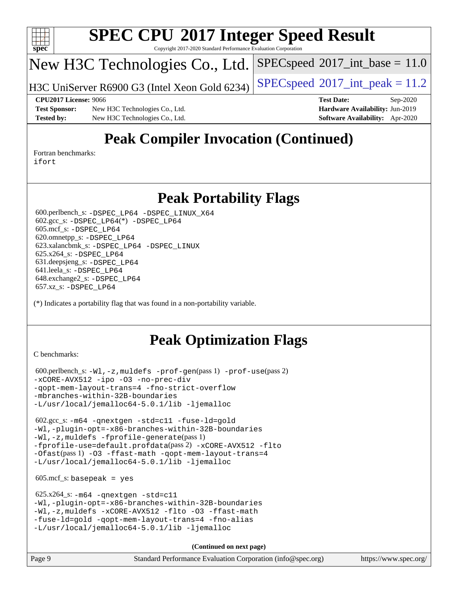

Copyright 2017-2020 Standard Performance Evaluation Corporation

# New H3C Technologies Co., Ltd.

H3C UniServer R6900 G3 (Intel Xeon Gold 6234) [SPECspeed](http://www.spec.org/auto/cpu2017/Docs/result-fields.html#SPECspeed2017intpeak)®[2017\\_int\\_peak = 1](http://www.spec.org/auto/cpu2017/Docs/result-fields.html#SPECspeed2017intpeak)1.2

 $SPECspeed^{\circledcirc}2017\_int\_base = 11.0$  $SPECspeed^{\circledcirc}2017\_int\_base = 11.0$ 

**[Test Sponsor:](http://www.spec.org/auto/cpu2017/Docs/result-fields.html#TestSponsor)** New H3C Technologies Co., Ltd. **[Hardware Availability:](http://www.spec.org/auto/cpu2017/Docs/result-fields.html#HardwareAvailability)** Jun-2019 **[Tested by:](http://www.spec.org/auto/cpu2017/Docs/result-fields.html#Testedby)** New H3C Technologies Co., Ltd. **[Software Availability:](http://www.spec.org/auto/cpu2017/Docs/result-fields.html#SoftwareAvailability)** Apr-2020

**[CPU2017 License:](http://www.spec.org/auto/cpu2017/Docs/result-fields.html#CPU2017License)** 9066 **[Test Date:](http://www.spec.org/auto/cpu2017/Docs/result-fields.html#TestDate)** Sep-2020

# **[Peak Compiler Invocation \(Continued\)](http://www.spec.org/auto/cpu2017/Docs/result-fields.html#PeakCompilerInvocation)**

[Fortran benchmarks](http://www.spec.org/auto/cpu2017/Docs/result-fields.html#Fortranbenchmarks): [ifort](http://www.spec.org/cpu2017/results/res2020q4/cpu2017-20200927-24031.flags.html#user_FCpeak_intel_ifort_8111460550e3ca792625aed983ce982f94888b8b503583aa7ba2b8303487b4d8a21a13e7191a45c5fd58ff318f48f9492884d4413fa793fd88dd292cad7027ca)

#### **[Peak Portability Flags](http://www.spec.org/auto/cpu2017/Docs/result-fields.html#PeakPortabilityFlags)**

 600.perlbench\_s: [-DSPEC\\_LP64](http://www.spec.org/cpu2017/results/res2020q4/cpu2017-20200927-24031.flags.html#b600.perlbench_s_peakPORTABILITY_DSPEC_LP64) [-DSPEC\\_LINUX\\_X64](http://www.spec.org/cpu2017/results/res2020q4/cpu2017-20200927-24031.flags.html#b600.perlbench_s_peakCPORTABILITY_DSPEC_LINUX_X64) 602.gcc\_s: [-DSPEC\\_LP64](http://www.spec.org/cpu2017/results/res2020q4/cpu2017-20200927-24031.flags.html#suite_peakCCLD602_gcc_s_DSPEC_LP64)(\*) [-DSPEC\\_LP64](http://www.spec.org/cpu2017/results/res2020q4/cpu2017-20200927-24031.flags.html#suite_peakPORTABILITY602_gcc_s_DSPEC_LP64) 605.mcf\_s: [-DSPEC\\_LP64](http://www.spec.org/cpu2017/results/res2020q4/cpu2017-20200927-24031.flags.html#suite_peakPORTABILITY605_mcf_s_DSPEC_LP64) 620.omnetpp\_s: [-DSPEC\\_LP64](http://www.spec.org/cpu2017/results/res2020q4/cpu2017-20200927-24031.flags.html#suite_peakPORTABILITY620_omnetpp_s_DSPEC_LP64) 623.xalancbmk\_s: [-DSPEC\\_LP64](http://www.spec.org/cpu2017/results/res2020q4/cpu2017-20200927-24031.flags.html#suite_peakPORTABILITY623_xalancbmk_s_DSPEC_LP64) [-DSPEC\\_LINUX](http://www.spec.org/cpu2017/results/res2020q4/cpu2017-20200927-24031.flags.html#b623.xalancbmk_s_peakCXXPORTABILITY_DSPEC_LINUX) 625.x264\_s: [-DSPEC\\_LP64](http://www.spec.org/cpu2017/results/res2020q4/cpu2017-20200927-24031.flags.html#suite_peakPORTABILITY625_x264_s_DSPEC_LP64) 631.deepsjeng\_s: [-DSPEC\\_LP64](http://www.spec.org/cpu2017/results/res2020q4/cpu2017-20200927-24031.flags.html#suite_peakPORTABILITY631_deepsjeng_s_DSPEC_LP64) 641.leela\_s: [-DSPEC\\_LP64](http://www.spec.org/cpu2017/results/res2020q4/cpu2017-20200927-24031.flags.html#suite_peakPORTABILITY641_leela_s_DSPEC_LP64) 648.exchange2\_s: [-DSPEC\\_LP64](http://www.spec.org/cpu2017/results/res2020q4/cpu2017-20200927-24031.flags.html#suite_peakPORTABILITY648_exchange2_s_DSPEC_LP64) 657.xz\_s: [-DSPEC\\_LP64](http://www.spec.org/cpu2017/results/res2020q4/cpu2017-20200927-24031.flags.html#suite_peakPORTABILITY657_xz_s_DSPEC_LP64)

(\*) Indicates a portability flag that was found in a non-portability variable.

# **[Peak Optimization Flags](http://www.spec.org/auto/cpu2017/Docs/result-fields.html#PeakOptimizationFlags)**

[C benchmarks](http://www.spec.org/auto/cpu2017/Docs/result-fields.html#Cbenchmarks):

```
 600.perlbench_s: -Wl,-z,muldefs -prof-gen(pass 1) -prof-use(pass 2)
-xCORE-AVX512 -ipo -O3 -no-prec-div
-qopt-mem-layout-trans=4 -fno-strict-overflow
-mbranches-within-32B-boundaries
-L/usr/local/jemalloc64-5.0.1/lib -ljemalloc
```
 602.gcc\_s: [-m64](http://www.spec.org/cpu2017/results/res2020q4/cpu2017-20200927-24031.flags.html#user_peakCCLD602_gcc_s_m64-icc) [-qnextgen](http://www.spec.org/cpu2017/results/res2020q4/cpu2017-20200927-24031.flags.html#user_peakCCLD602_gcc_s_f-qnextgen) [-std=c11](http://www.spec.org/cpu2017/results/res2020q4/cpu2017-20200927-24031.flags.html#user_peakCCLD602_gcc_s_std-icc-std_0e1c27790398a4642dfca32ffe6c27b5796f9c2d2676156f2e42c9c44eaad0c049b1cdb667a270c34d979996257aeb8fc440bfb01818dbc9357bd9d174cb8524) [-fuse-ld=gold](http://www.spec.org/cpu2017/results/res2020q4/cpu2017-20200927-24031.flags.html#user_peakCCLD602_gcc_s_f-fuse-ld_920b3586e2b8c6e0748b9c84fa9b744736ba725a32cab14ad8f3d4ad28eecb2f59d1144823d2e17006539a88734fe1fc08fc3035f7676166309105a78aaabc32) [-Wl,-plugin-opt=-x86-branches-within-32B-boundaries](http://www.spec.org/cpu2017/results/res2020q4/cpu2017-20200927-24031.flags.html#user_peakLDFLAGS602_gcc_s_f-x86-branches-within-32B-boundaries_0098b4e4317ae60947b7b728078a624952a08ac37a3c797dfb4ffeb399e0c61a9dd0f2f44ce917e9361fb9076ccb15e7824594512dd315205382d84209e912f3) [-Wl,-z,muldefs](http://www.spec.org/cpu2017/results/res2020q4/cpu2017-20200927-24031.flags.html#user_peakEXTRA_LDFLAGS602_gcc_s_link_force_multiple1_b4cbdb97b34bdee9ceefcfe54f4c8ea74255f0b02a4b23e853cdb0e18eb4525ac79b5a88067c842dd0ee6996c24547a27a4b99331201badda8798ef8a743f577) [-fprofile-generate](http://www.spec.org/cpu2017/results/res2020q4/cpu2017-20200927-24031.flags.html#user_peakPASS1_CFLAGSPASS1_LDFLAGS602_gcc_s_fprofile-generate)(pass 1) [-fprofile-use=default.profdata](http://www.spec.org/cpu2017/results/res2020q4/cpu2017-20200927-24031.flags.html#user_peakPASS2_CFLAGSPASS2_LDFLAGS602_gcc_s_fprofile-use_56aeee182b92ec249f9670f17c9b8e7d83fe2d25538e35a2cf64c434b579a2235a8b8fc66ef5678d24461366bbab9d486c870d8a72905233fc08e43eefe3cd80)(pass 2) [-xCORE-AVX512](http://www.spec.org/cpu2017/results/res2020q4/cpu2017-20200927-24031.flags.html#user_peakCOPTIMIZEPASS1_CFLAGSPASS1_LDFLAGS602_gcc_s_f-xCORE-AVX512) [-flto](http://www.spec.org/cpu2017/results/res2020q4/cpu2017-20200927-24031.flags.html#user_peakCOPTIMIZEPASS1_CFLAGSPASS1_LDFLAGS602_gcc_s_f-flto) [-Ofast](http://www.spec.org/cpu2017/results/res2020q4/cpu2017-20200927-24031.flags.html#user_peakPASS1_CFLAGSPASS1_LDFLAGS602_gcc_s_f-Ofast)(pass 1) [-O3](http://www.spec.org/cpu2017/results/res2020q4/cpu2017-20200927-24031.flags.html#user_peakCOPTIMIZE602_gcc_s_f-O3) [-ffast-math](http://www.spec.org/cpu2017/results/res2020q4/cpu2017-20200927-24031.flags.html#user_peakCOPTIMIZE602_gcc_s_f-ffast-math) [-qopt-mem-layout-trans=4](http://www.spec.org/cpu2017/results/res2020q4/cpu2017-20200927-24031.flags.html#user_peakCOPTIMIZE602_gcc_s_f-qopt-mem-layout-trans_fa39e755916c150a61361b7846f310bcdf6f04e385ef281cadf3647acec3f0ae266d1a1d22d972a7087a248fd4e6ca390a3634700869573d231a252c784941a8) [-L/usr/local/jemalloc64-5.0.1/lib](http://www.spec.org/cpu2017/results/res2020q4/cpu2017-20200927-24031.flags.html#user_peakEXTRA_LIBS602_gcc_s_jemalloc_link_path64_1_cc289568b1a6c0fd3b62c91b824c27fcb5af5e8098e6ad028160d21144ef1b8aef3170d2acf0bee98a8da324cfe4f67d0a3d0c4cc4673d993d694dc2a0df248b) [-ljemalloc](http://www.spec.org/cpu2017/results/res2020q4/cpu2017-20200927-24031.flags.html#user_peakEXTRA_LIBS602_gcc_s_jemalloc_link_lib_d1249b907c500fa1c0672f44f562e3d0f79738ae9e3c4a9c376d49f265a04b9c99b167ecedbf6711b3085be911c67ff61f150a17b3472be731631ba4d0471706)

 $605.\text{mcf}\text{ s}:$  basepeak = yes

```
 625.x264_s: -m64 -qnextgen -std=c11
-Wl,-plugin-opt=-x86-branches-within-32B-boundaries
-Wl,-z,muldefs -xCORE-AVX512 -flto -O3 -ffast-math
-fuse-ld=gold -qopt-mem-layout-trans=4 -fno-alias
-L/usr/local/jemalloc64-5.0.1/lib -ljemalloc
```